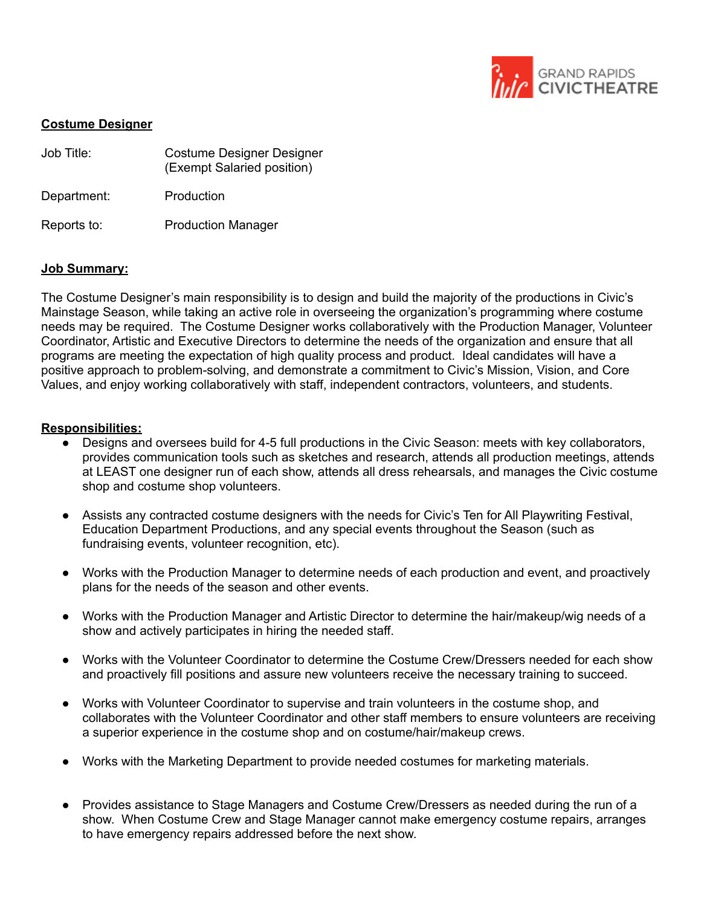

### **Costume Designer**

| Job Title:  | Costume Designer Designer<br>(Exempt Salaried position) |
|-------------|---------------------------------------------------------|
| Department: | Production                                              |
| Reports to: | <b>Production Manager</b>                               |

### **Job Summary:**

The Costume Designer's main responsibility is to design and build the majority of the productions in Civic's Mainstage Season, while taking an active role in overseeing the organization's programming where costume needs may be required. The Costume Designer works collaboratively with the Production Manager, Volunteer Coordinator, Artistic and Executive Directors to determine the needs of the organization and ensure that all programs are meeting the expectation of high quality process and product. Ideal candidates will have a positive approach to problem-solving, and demonstrate a commitment to Civic's Mission, Vision, and Core Values, and enjoy working collaboratively with staff, independent contractors, volunteers, and students.

#### **Responsibilities:**

- Designs and oversees build for 4-5 full productions in the Civic Season: meets with key collaborators, provides communication tools such as sketches and research, attends all production meetings, attends at LEAST one designer run of each show, attends all dress rehearsals, and manages the Civic costume shop and costume shop volunteers.
- Assists any contracted costume designers with the needs for Civic's Ten for All Playwriting Festival, Education Department Productions, and any special events throughout the Season (such as fundraising events, volunteer recognition, etc).
- Works with the Production Manager to determine needs of each production and event, and proactively plans for the needs of the season and other events.
- Works with the Production Manager and Artistic Director to determine the hair/makeup/wig needs of a show and actively participates in hiring the needed staff.
- Works with the Volunteer Coordinator to determine the Costume Crew/Dressers needed for each show and proactively fill positions and assure new volunteers receive the necessary training to succeed.
- Works with Volunteer Coordinator to supervise and train volunteers in the costume shop, and collaborates with the Volunteer Coordinator and other staff members to ensure volunteers are receiving a superior experience in the costume shop and on costume/hair/makeup crews.
- Works with the Marketing Department to provide needed costumes for marketing materials.
- Provides assistance to Stage Managers and Costume Crew/Dressers as needed during the run of a show. When Costume Crew and Stage Manager cannot make emergency costume repairs, arranges to have emergency repairs addressed before the next show.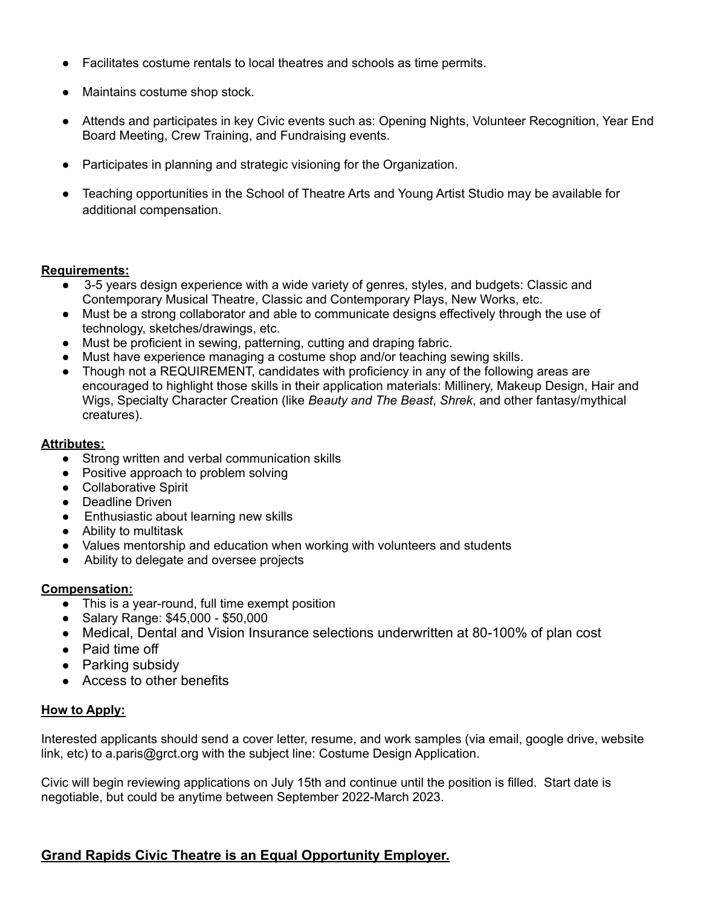- Facilitates costume rentals to local theatres and schools as time permits.
- Maintains costume shop stock.
- Attends and participates in key Civic events such as: Opening Nights, Volunteer Recognition, Year End Board Meeting, Crew Training, and Fundraising events.
- Participates in planning and strategic visioning for the Organization.
- Teaching opportunities in the School of Theatre Arts and Young Artist Studio may be available for additional compensation.

### **Requirements:**

- 3-5 years design experience with a wide variety of genres, styles, and budgets: Classic and Contemporary Musical Theatre, Classic and Contemporary Plays, New Works, etc.
- Must be a strong collaborator and able to communicate designs effectively through the use of technology, sketches/drawings, etc.
- Must be proficient in sewing, patterning, cutting and draping fabric.
- Must have experience managing a costume shop and/or teaching sewing skills.
- Though not a REQUIREMENT, candidates with proficiency in any of the following areas are encouraged to highlight those skills in their application materials: Millinery, Makeup Design, Hair and Wigs, Specialty Character Creation (like *Beauty and The Beast*, *Shrek*, and other fantasy/mythical creatures).

### **Attributes:**

- Strong written and verbal communication skills
- Positive approach to problem solving
- Collaborative Spirit
- Deadline Driven
- Enthusiastic about learning new skills
- Ability to multitask
- Values mentorship and education when working with volunteers and students
- Ability to delegate and oversee projects

#### **Compensation:**

- This is a year-round, full time exempt position
- Salary Range: \$45,000 \$50,000
- Medical, Dental and Vision Insurance selections underwritten at 80-100% of plan cost
- Paid time off
- Parking subsidy
- Access to other benefits

#### **How to Apply:**

Interested applicants should send a cover letter, resume, and work samples (via email, google drive, website link, etc) to a.paris@grct.org with the subject line: Costume Design Application.

Civic will begin reviewing applications on July 15th and continue until the position is filled. Start date is negotiable, but could be anytime between September 2022-March 2023.

### **Grand Rapids Civic Theatre is an Equal Opportunity Employer.**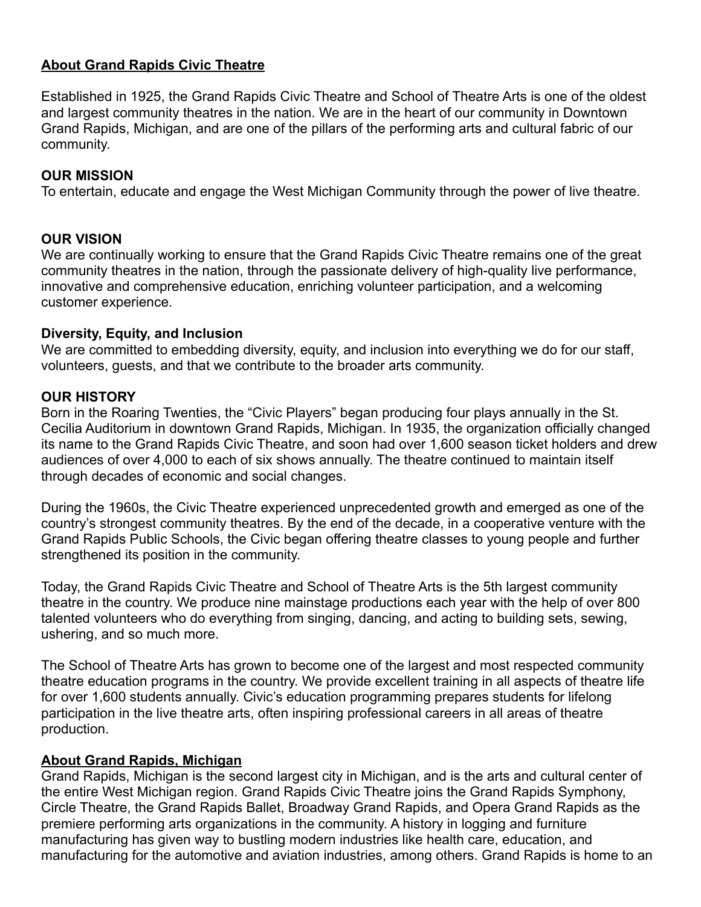# **About Grand Rapids Civic Theatre**

Established in 1925, the Grand Rapids Civic Theatre and School of Theatre Arts is one of the oldest and largest community theatres in the nation. We are in the heart of our community in Downtown Grand Rapids, Michigan, and are one of the pillars of the performing arts and cultural fabric of our community.

# **OUR MISSION**

To entertain, educate and engage the West Michigan Community through the power of live theatre.

# **OUR VISION**

We are continually working to ensure that the Grand Rapids Civic Theatre remains one of the great community theatres in the nation, through the passionate delivery of high-quality live performance, innovative and comprehensive education, enriching volunteer participation, and a welcoming customer experience.

### **Diversity, Equity, and Inclusion**

We are committed to embedding diversity, equity, and inclusion into everything we do for our staff, volunteers, guests, and that we contribute to the broader arts community.

# **OUR HISTORY**

Born in the Roaring Twenties, the "Civic Players" began producing four plays annually in the St. Cecilia Auditorium in downtown Grand Rapids, Michigan. In 1935, the organization officially changed its name to the Grand Rapids Civic Theatre, and soon had over 1,600 season ticket holders and drew audiences of over 4,000 to each of six shows annually. The theatre continued to maintain itself through decades of economic and social changes.

During the 1960s, the Civic Theatre experienced unprecedented growth and emerged as one of the country's strongest community theatres. By the end of the decade, in a cooperative venture with the Grand Rapids Public Schools, the Civic began offering theatre classes to young people and further strengthened its position in the community.

Today, the Grand Rapids Civic Theatre and School of Theatre Arts is the 5th largest community theatre in the country. We produce nine mainstage productions each year with the help of over 800 talented volunteers who do everything from singing, dancing, and acting to building sets, sewing, ushering, and so much more.

The School of Theatre Arts has grown to become one of the largest and most respected community theatre education programs in the country. We provide excellent training in all aspects of theatre life for over 1,600 students annually. Civic's education programming prepares students for lifelong participation in the live theatre arts, often inspiring professional careers in all areas of theatre production.

### **About Grand Rapids, Michigan**

Grand Rapids, Michigan is the second largest city in Michigan, and is the arts and cultural center of the entire West Michigan region. Grand Rapids Civic Theatre joins the Grand Rapids Symphony, Circle Theatre, the Grand Rapids Ballet, Broadway Grand Rapids, and Opera Grand Rapids as the premiere performing arts organizations in the community. A history in logging and furniture manufacturing has given way to bustling modern industries like health care, education, and manufacturing for the automotive and aviation industries, among others. Grand Rapids is home to an